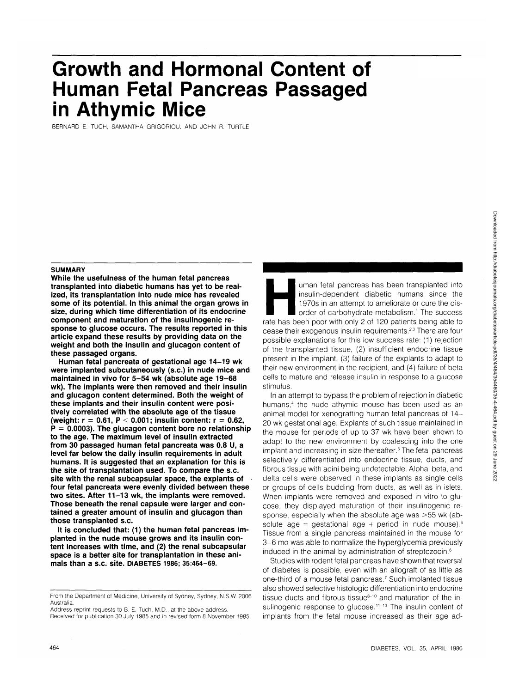# **Growth and Hormonal Content of Human Fetal Pancreas Passaged in Athymic Mice**

BERNARD E. TUCH, SAMANTHA GRIGORIOU. AND JOHN R. TURTLE

### **SUMMARY**

**While the usefulness of the human fetal pancreas transplanted into diabetic humans has yet to be realized, its transplantation into nude mice has revealed some of its potential. In this animal the organ grows in size, during which time differentiation of its endocrine component and maturation of the insulinogenic response to glucose occurs. The results reported in this article expand these results by providing data on the weight and both the insulin and glucagon content of these passaged organs.**

**Human fetal pancreata of gestational age 14-19 wk were implanted subcutaneously (s.c.) in nude mice and maintained in vivo for 5-54 wk (absolute age 19-68 wk). The implants were then removed and their insulin and glucagon content determined. Both the weight of these implants and their insulin content were positively correlated with the absolute age of the tissue (weight: r = 0.61, P < 0.001; insulin content: r = 0.62, P = 0.0003). The glucagon content bore no relationship to the age. The maximum level of insulin extracted from 30 passaged human fetal pancreata was 0.8 U, a level far below the daily insulin requirements in adult humans. It is suggested that an explanation for this is the site of transplantation used. To compare the s.c. site with the renal subcapsular space, the explants of four fetal pancreata were evenly divided between these two sites. After 11-13 wk, the implants were removed. Those beneath the renal capsule were larger and contained a greater amount of insulin and glucagon than those transplanted s.c.**

**It is concluded that: (1) the human fetal pancreas implanted in the nude mouse grows and its insulin content increases with time, and (2) the renal subcapsular space is a better site for transplantation in these animals than a S.C. Site. DIABETES 1986; 35:464-69.**

Address reprint requests to B. E. Tuch, M.D., at the above address. Received for publication 30 July 1985 and in revised form 8 November 1985.

Fuman fetal pancreas has been transplanted into<br>insulin-dependent diabetic humans since the<br>1970s in an attempt to ameliorate or cure the dis-<br>order of carbohydrate metabolism.<sup>1</sup> The success<br>rate has been poor with only 2 insulin-dependent diabetic humans since the 1970s in an attempt to ameliorate or cure the disorder of carbohydrate metabolism.<sup>1</sup> The success cease their exogenous insulin requirements.<sup>2,3</sup> There are four possible explanations for this low success rate: (1) rejection of the transplanted tissue, (2) insufficient endocrine tissue present in the implant, (3) failure of the explants to adapt to their new environment in the recipient, and (4) failure of beta cells to mature and release insulin in response to a glucose stimulus.

In an attempt to bypass the problem of rejection in diabetic humans,<sup>4</sup> the nude athymic mouse has been used as an animal model for xenografting human fetal pancreas of 14- 20 wk gestational age. Explants of such tissue maintained in the mouse for periods of up to 37 wk have been shown to adapt to the new environment by coalescing into the one implant and increasing in size thereafter.<sup>5</sup> The fetal pancreas selectively differentiated into endocrine tissue, ducts, and fibrous tissue with acini being undetectable. Alpha, beta, and delta cells were observed in these implants as single cells or groups of cells budding from ducts, as well as in islets. When implants were removed and exposed in vitro to glucose, they displayed maturation of their insulinogenic response, especially when the absolute age was >55 wk (absolute age = gestational age + period in nude mouse).<sup>6</sup> Tissue from a single pancreas maintained in the mouse for 3-6 mo was able to normalize the hyperglycemia previously induced in the animal by administration of streptozocin.6

Studies with rodent fetal pancreas have shown that reversal of diabetes is possible, even with an allograft of as little as one-third of a mouse fetal pancreas.7 Such implanted tissue also showed selective histologic differentiation into endocrine tissue ducts and fibrous tissue<sup>8-10</sup> and maturation of the insulinogenic response to glucose.<sup>11-13</sup> The insulin content of implants from the fetal mouse increased as their age ad-

From the Department of Medicine, University of Sydney, Sydney, N.S.W. 2006 Australia.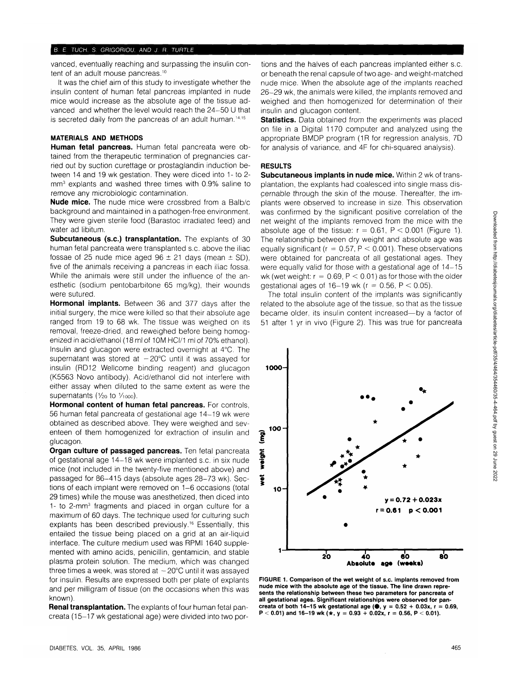vanced, eventually reaching and surpassing the insulin content of an adult mouse pancreas.<sup>10</sup>

It was the chief aim of this study to investigate whether the insulin content of human fetal pancreas implanted in nude mice would increase as the absolute age of the tissue advanced and whether the level would reach the 24-50 U that is secreted daily from the pancreas of an adult human.<sup>14,15</sup>

# **MATERIALS AND METHODS**

**Human fetal pancreas.** Human fetal pancreata were obtained from the therapeutic termination of pregnancies carried out by suction curettage or prostaglandin induction between 14 and 19 wk gestation. They were diced into 1- to 2 mm3 explants and washed three times with 0.9% saline to remove any microbiologic contamination.

**Nude mice.** The nude mice were crossbred from a Balb/c background and maintained in a pathogen-free environment. They were given sterile food (Barastoc irradiated feed) and water ad libitum.

**Subcutaneous (s.c.) transplantation.** The explants of 30 human fetal pancreata were transplanted s.c. above the iliac fossae of 25 nude mice aged  $96 \pm 21$  days (mean  $\pm$  SD), five of the animals receiving a pancreas in each iliac fossa. While the animals were still under the influence of the anesthetic (sodium pentobarbitone 65 mg/kg), their wounds were sutured.

**Hormonal implants.** Between 36 and 377 days after the initial surgery, the mice were killed so that their absolute age ranged from 19 to 68 wk. The tissue was weighed on its removal, freeze-dried, and reweighed before being homogenized in acid/ethanol (18 ml of 10M HCI/1 ml of 70% ethanol). Insulin and glucagon were extracted overnight at 4°C. The supernatant was stored at  $-20^{\circ}$ C until it was assayed for insulin (RD12 Wellcome binding reagent) and glucagon (K5563 Novo antibody). Acid/ethanol did not interfere with either assay when diluted to the same extent as were the supernatants ( $\frac{1}{20}$  to  $\frac{1}{1000}$ ).

**Hormonal content of human fetal pancreas.** For controls, 56 human fetal pancreata of gestational age 14-19 wk were obtained as described above. They were weighed and seventeen of them homogenized for extraction of insulin and glucagon.

**Organ culture of passaged pancreas.** Ten fetal pancreata of gestational age 14-18 wkwere implanted s.c. in six nude mice (not included in the twenty-five mentioned above) and passaged for 86-415 days (absolute ages 28-73 wk). Sections of each implant were removed on 1-6 occasions (total 29 times) while the mouse was anesthetized, then diced into 1- to 2-mm<sup>3</sup> fragments and placed in organ culture for a maximum of 60 days. The technique used for cutturing such explants has been described previously.<sup>16</sup> Essentially, this entailed the tissue being placed on a grid at an air-liquid interface. The culture medium used was RPMI 1640 supplemented with amino acids, penicillin, gentamicin, and stable plasma protein solution. The medium, which was changed three times a week, was stored at  $-20^{\circ}$ C until it was assayed for insulin. Results are expressed both per plate of explants and per milligram of tissue (on the occasions when this was known).

**Renal transplantation.** The explants of four human fetal pancreata (15-17 wk gestational age) were divided into two por-

tions and the halves of each pancreas implanted either s.c. or beneath the renal capsule of two age- and weight-matched nude mice. When the absolute age of the implants reached 26-29 wk, the animals were killed, the implants removed and weighed and then homogenized for determination of their insulin and glucagon content.

**Statistics.** Data obtained from the experiments was placed on file in a Digital 1170 computer and analyzed using the appropriate BMDP program (1R for regression analysis, 7D for analysis of variance, and 4F for chi-squared analysis).

## **RESULTS**

**Subcutaneous implants in nude mice.** Within 2 wk of transplantation, the explants had coalesced into single mass discernable through the skin of the mouse. Thereafter, the implants were observed to increase in size. This observation was confirmed by the significant positive correlation of the net weight of the implants removed from the mice with the absolute age of the tissue:  $r = 0.61$ ,  $P < 0.001$  (Figure 1). The relationship between dry weight and absolute age was equally significant ( $r = 0.57$ ,  $P < 0.001$ ). These observations were obtained for pancreata of all gestational ages. They were equally valid for those with a gestational age of 14-15 wk (wet weight:  $r = 0.69$ ,  $P < 0.01$ ) as for those with the older gestational ages of  $16-19$  wk ( $r = 0.56$ ,  $P < 0.05$ ).

The total insulin content of the implants was significantly related to the absolute age of the tissue, so that as the tissue became older, its insulin content increased—by a factor of 51 after 1 yr in vivo (Figure 2). This was true for pancreata



**FIGURE 1. Comparison of the wet weight of s.c. implants removed from nude mice with the absolute age of the tissue. The line drawn represents the relationship between these two parameters for pancreata of all gestational ages. Significant relationships were observed for pan**creata of both 14–15 wk gestational age (●, y = 0.52 + 0.03x, r = 0.69,<br>P < 0.01) and 16–19 wk (★, y = 0.93 + 0.02x, r = 0.56, P < 0.01).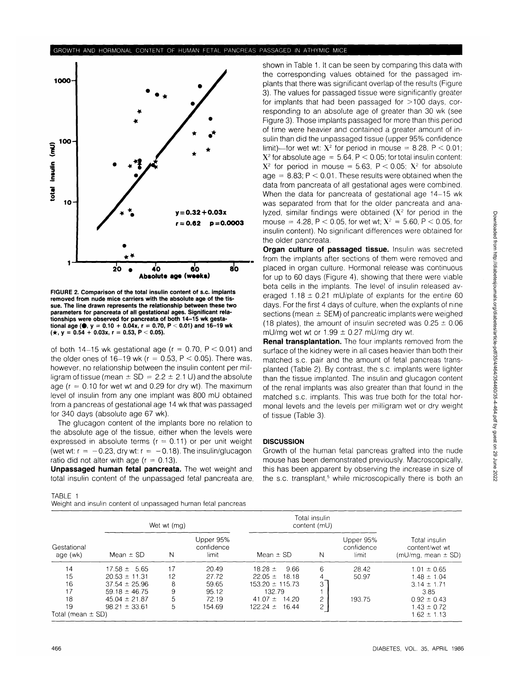

**FIGURE 2. Comparison of the total insulin content of s.c. implants removed from nude mice carriers with the absolute age of the tissue. The line drawn represents the relationship between these two parameters for pancreata of all gestational ages. Significant relationships were observed for pancreata of both 14-15 wk gestational age (•), y = 0.10 + 0.04x, r = 0.70, P < 0.01) and 16-19 wk (•, y = 0.54 + 0.03x, r = 0.53, P < 0.05).**

of both 14-15 wk gestational age ( $r = 0.70$ ,  $P < 0.01$ ) and the older ones of 16-19 wk ( $r = 0.53$ ,  $P < 0.05$ ). There was, however, no relationship between the insulin content per milligram of tissue (mean  $\pm$  SD = 2.2  $\pm$  2.1 U) and the absolute age ( $r = 0.10$  for wet wt and 0.29 for dry wt). The maximum level of insulin from any one implant was 800 mU obtained from a pancreas of gestational age 14 wk that was passaged for 340 days (absolute age 67 wk).

The glucagon content of the implants bore no relation to the absolute age of the tissue, either when the levels were expressed in absolute terms ( $r = 0.11$ ) or per unit weight (wet wt:  $r = -0.23$ , dry wt:  $r = -0.18$ ). The insulin/glucagon ratio did not alter with age  $(r = 0.13)$ .

**Unpassaged human fetal pancreata.** The wet weight and total insulin content of the unpassaged fetal pancreata are.

TABLE 1 Weight and insulin content of unpassaged human fetal pancreas

| shown in Table 1. It can be seen by comparing this data with        |
|---------------------------------------------------------------------|
| the corresponding values obtained for the passaged im-              |
| plants that there was significant overlap of the results (Figure    |
| 3). The values for passaged tissue were significantly greater       |
| for implants that had been passaged for >100 days, cor-             |
| responding to an absolute age of greater than 30 wk (see            |
| Figure 3). Those implants passaged for more than this period        |
| of time were heavier and contained a greater amount of in-          |
| sulin than did the unpassaged tissue (upper 95% confidence          |
| limit)—for wet wt: $X^2$ for period in mouse = 8.28, P < 0.01;      |
| $X^2$ for absolute age = 5.64, P < 0.05; for total insulin content: |
| $X^2$ for period in mouse = 5.63, P < 0.05; $X^2$ for absolute      |
| $age = 8.83$ ; $P < 0.01$ . These results were obtained when the    |
| data from pancreata of all gestational ages were combined.          |
| When the data for pancreata of gestational age 14-15 wk             |
| was separated from that for the older pancreata and ana-            |
| lyzed, similar findings were obtained $(X^2)$ for period in the     |
| mouse = 4.28, P < 0.05, for wet wt; $X^2 = 5.60$ , P < 0.05, for    |
| insulin content). No significant differences were obtained for      |
| the older pancreata.                                                |
|                                                                     |

**Organ culture of passaged tissue.** Insulin was secreted from the implants after sections of them were removed and placed in organ culture. Hormonal release was continuous for up to 60 days (Figure 4), showing that there were viable beta cells in the implants. The level of insulin released averaged 1.18  $\pm$  0.21 mU/plate of explants for the entire 60 days. For the first 4 days of culture, when the explants of nine sections (mean  $\pm$  SEM) of pancreatic implants were weighed (18 plates), the amount of insulin secreted was  $0.25 \pm 0.06$ mU/mg wet wt or  $1.99 \pm 0.27$  mU/mg dry wt.

**Renal transplantation.** The four implants removed from the surface of the kidney were in all cases heavier than both their matched s.c. pair and the amount of fetal pancreas transplanted (Table 2). By contrast, the s.c. implants were lighter than the tissue implanted. The insulin and glucagon content of the renal implants was also greater than that found in the matched s.c. implants. This was true both for the total hormonal levels and the levels per milligram wet or dry weight of tissue (Table 3).

## **DISCUSSION**

Growth of the human fetal pancreas grafted into the nude mouse has been demonstrated previously. Macroscopically, this has been apparent by observing the increase in size of the s.c. transplant,<sup>5</sup> while microscopically there is both an

| Gestational<br>age (wk)     | Wet wt (mg)       |    |                                   | Total insulin<br>content (mU) |   |                                  |                                                           |
|-----------------------------|-------------------|----|-----------------------------------|-------------------------------|---|----------------------------------|-----------------------------------------------------------|
|                             | Mean $\pm$ SD     | N  | Upper 95%<br>confidence<br>limit. | Mean $\pm$ SD                 | Ν | Upper 95%<br>confidence<br>limit | Total insulin<br>content/wet wt<br>(mU/mg, mean $\pm$ SD) |
| 14                          | $17.58 \pm 5.65$  | 17 | 20.49                             | $18.28 \pm$<br>9.66           | 6 | 28.42                            | $1.01 \pm 0.65$                                           |
| 15                          | $20.53 \pm 11.31$ | 12 | 27.72                             | $22.05 \pm$<br>18.18          |   | 50.97                            | $1.48 \pm 1.04$                                           |
| 16                          | $37.54 \pm 25.96$ | 8  | 59.65                             | 153.20 ± 115.73               | 3 |                                  | $3.14 \pm 1.71$                                           |
| 17                          | $59.18 \pm 46.75$ | 9  | 95.12                             | 132.79                        |   |                                  | 3.85                                                      |
| 18                          | $45.04 \pm 21.87$ | 5  | 72.19                             | 41.07 $\pm$<br>14.20          | 2 | 193.75                           | $0.92 \pm 0.43$                                           |
| 19<br>Total (mean $\pm$ SD) | $98.21 \pm 33.61$ | 5  | 154.69                            | $122.24 \pm 16.44$            | 2 |                                  | $1.43 \pm 0.72$<br>$1.62 \pm 1.13$                        |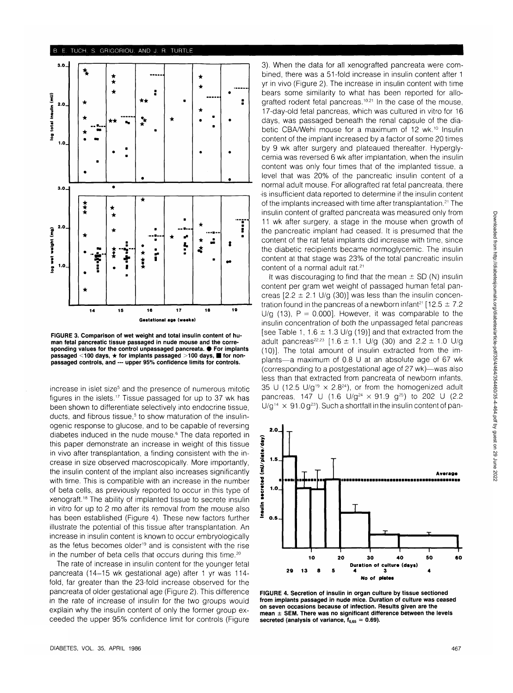

**FIGURE 3. Comparison of wet weight and total insulin content of human fetal pancreatic tissue passaged in nude mouse and the corre**sponding values for the control unpassaged pancreata.  $\bullet$  For implants passaged <100 days,  $\star$  for implants passaged >100 days, **in** for non**passaged controls, and — upper 95% confidence limits for controls.**

increase in islet size<sup>5</sup> and the presence of numerous mitotic figures in the islets.<sup>17</sup> Tissue passaged for up to 37 wk has been shown to differentiate selectively into endocrine tissue, ducts, and fibrous tissue,<sup>5</sup> to show maturation of the insulinogenic response to glucose, and to be capable of reversing diabetes induced in the nude mouse.<sup>6</sup> The data reported in this paper demonstrate an increase in weight of this tissue in vivo after transplantation, a finding consistent with the increase in size observed macroscopically. More importantly, the insulin content of the implant also increases significantly with time. This is compatible with an increase in the number of beta cells, as previously reported to occur in this type of xenograft.18 The ability of implanted tissue to secrete insulin in vitro for up to 2 mo after its removal from the mouse also has been established (Figure 4). These new factors further illustrate the potential of this tissue after transplantation. An increase in insulin content is known to occur embryologically as the fetus becomes older<sup>19</sup> and is consistent with the rise in the number of beta cells that occurs during this time.<sup>20</sup>

The rate of increase in insulin content for the younger fetal pancreata (14-15 wk gestational age) after 1 yr was 114 fold, far greater than the 23-fold increase observed for the pancreata of older gestational age (Figure 2). This difference in the rate of increase of insulin for the two groups would explain why the insulin content of only the former group exceeded the upper 95% confidence limit for controls (Figure

3). When the data for all xenografted pancreata were combined, there was a 51-fold increase in insulin content after 1 yr in vivo (Figure 2). The increase in insulin content with time bears some similarity to what has been reported for allografted rodent fetal pancreas.<sup>10,21</sup> In the case of the mouse, 17-day-old fetal pancreas, which was cultured in vitro for 16 days, was passaged beneath the renal capsule of the diabetic CBA/Wehi mouse for a maximum of 12 wk.<sup>10</sup> Insulin content of the implant increased by a factor of some 20 times by 9 wk after surgery and plateaued thereafter. Hyperglycemia was reversed 6 wk after implantation, when the insulin content was only four times that of the implanted tissue, a level that was 20% of the pancreatic insulin content of a normal adult mouse. For allografted rat fetal pancreata, there •is insufficient data reported to determine if the insulin content of the implants increased with time after transplantation.<sup>21</sup> The insulin content of grafted pancreata was measured only from 11 wk after surgery, a stage in the mouse when growth of the pancreatic implant had ceased. It is presumed that the content of the rat fetal implants did increase with time, since the diabetic recipients became normoglycemic. The insulin content at that stage was 23% of the total pancreatic insulin content of a normal adult rat.<sup>21</sup>

It was discouraging to find that the mean  $\pm$  SD (N) insulin content per gram wet weight of passaged human fetal pancreas  $[2.2 \pm 2.1 \cup g (30)]$  was less than the insulin concentration found in the pancreas of a newborn infant<sup>21</sup> [12.5  $\pm$  7.2 U/g (13),  $P = 0.000$ . However, it was comparable to the insulin concentration of both the unpassaged fetal pancreas [see Table 1, 1.6  $\pm$  1.3 U/g (19)] and that extracted from the adult pancreas<sup>22,23</sup> [1.6 ± 1.1 U/g (30) and 2.2 ± 1.0 U/g (10)]. The total amount of insulin extracted from the implants—a maximum of 0.8 U at an absolute age of 67 wk (corresponding to a postgestational age of 27 wk)—was also less than that extracted from pancreata of newborn infants, 35 U (12.5 U/g<sup>19</sup>  $\times$  2.8<sup>24</sup>), or from the homogenized adult pancreas, 147 U (1.6  $U/g^{24} \times 91.9$  g<sup>25</sup>) to 202 U (2.2)  $U/g^{14} \times 91.0 g^{23}$ ). Such a shortfall in the insulin content of pan-



**FIGURE 4. Secretion of insulin in organ culture by tissue sectioned from implants passaged in nude mice. Duration of culture was ceased on seven occasions because of infection. Results given are the mean ± SEM. There was no significant difference between the levels** secreted (analysis of variance,  $f_{6,65} = 0.69$ ).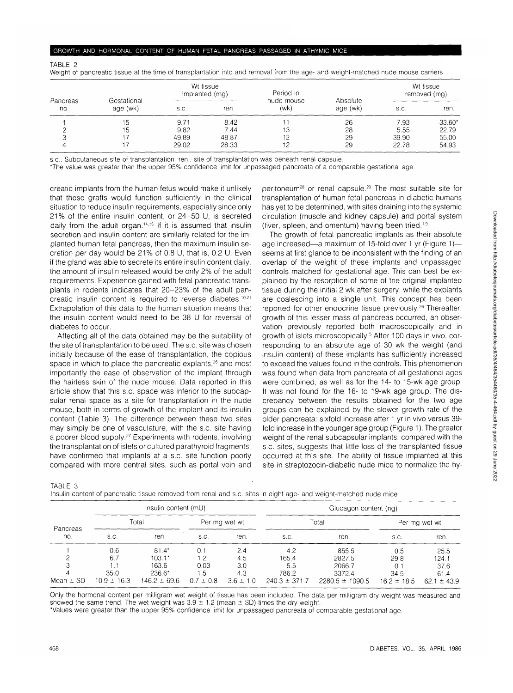|--|--|

Weight of pancreatic tissue at the time of transplantation into and removal from the age- and weight-matched nude mouse carriers

| Pancreas | Gestational | Wt tissue<br>implanted (mg) |       | Period in<br>nude mouse | Absolute | Wt tissue<br>removed (mg) |          |
|----------|-------------|-----------------------------|-------|-------------------------|----------|---------------------------|----------|
| no.      | age (wk)    | S.C.                        | ren.  | (wk)                    | age (wk) | S.C.                      | ren.     |
|          | 5           | 9.71                        | 8.42  |                         | 26       | 7.93                      | $33.60*$ |
| っ        | 15          | 9.82                        | 7.44  | 13                      | 28       | 5.55                      | 22.79    |
| 3        |             | 49.89                       | 48.87 | 12                      | 29       | 39.90                     | 55.00    |
| 4        |             | 29.02                       | 28.33 |                         | 29       | 22.78                     | 54.93    |

s.c, Subcutaneous site of transplantation; ren., site of transplantation was beneath renal capsule.

\*The value was greater than the upper 95% confidence limit for unpassaged pancreata of a comparable gestational age.

creatic implants from the human fetus would make it unlikely that these grafts would function sufficiently in the clinical situation to reduce insulin requirements, especially since only 21% of the entire insulin content, or 24-50 U, is secreted daily from the adult organ.<sup>14,15</sup> If it is assumed that insulin secretion and insulin content are similarly related for the implanted human fetal pancreas, then the maximum insulin secretion per day would be 21% of 0.8 U, that is, 0.2 U. Even if the gland was able to secrete its entire insulin content daily, the amount of insulin released would be only 2% of the adult requirements. Experience gained with fetal pancreatic transplants in rodents indicates that 20-23% of the adult pancreatic insulin content is required to reverse diabetes.<sup>1021</sup> Extrapolation of this data to the human situation means that the insulin content would need to be 38 U for reversal of diabetes to occur.

Affecting all of the data obtained may be the suitability of the site of transplantation to be used. The s.c. site was chosen initially because of the ease of transplantation, the copious space in which to place the pancreatic explants,<sup>26</sup> and most importantly the ease of observation of the implant through the hairless skin of the nude mouse. Data reported in this article show that this s.c. space was inferior to the subcapsular renal space as a site for transplantation in the nude mouse, both in terms of growth of the implant and its insulin content (Table 3). The difference between these two sites may simply be one of vasculature, with the s.c. site having a poorer blood supply.<sup>27</sup> Experiments with rodents, involving the transplantation of islets or cultured parathyroid fragments, have confirmed that implants at a s.c. site function poorly compared with more central sites, such as portal vein and

peritoneum<sup>28</sup> or renal capsule.<sup>29</sup> The most suitable site for transplantation of human fetal pancreas in diabetic humans has yet to be determined, with sites draining into the systemic circulation (muscle and kidney capsule) and portal system (liver, spleen, and omentum) having been tried.<sup>1,9</sup>

The growth of fetal pancreatic implants as their absolute age increased—a maximum of 15-fold over 1 yr (Figure 1) seems at first glance to be inconsistent with the finding of an overlap of the weight of these implants and unpassaged controls matched for gestational age. This can best be explained by the resorption of some of the original implanted tissue during the initial 2 wk after surgery, while the explants are coalescing into a single unit. This concept has been reported for other endocrine tissue previously.<sup>26</sup> Thereafter, growth of this lesser mass of pancreas occurred, an observation previously reported both macroscopically and in growth of islets microscopically.<sup>5</sup> After 100 days in vivo, corresponding to an absolute age of 30 wk the weight (and insulin content) of these implants has sufficiently increased to exceed the values found in the controls. This phenomenon was found when data from pancreata of all gestational ages were combined, as well as for the 14- to 15-wk age group. It was not found for the 16- to 19-wk age group. The discrepancy between the results obtained for the two age groups can be explained by the slower growth rate of the older pancreata: sixfold increase after 1 yr in vivo versus 39 fold increase in the younger age group (Figure 1). The greater weight of the renal subcapsular implants, compared with the s.c. sites, suggests that little loss of the transplanted tissue occurred at this site. The ability of tissue implanted at this site in streptozocin-diabetic nude mice to normalize the hy-

|               | Insulin content (mU) |                  |               |               | Glucagon content (ng) |                     |                 |                 |  |
|---------------|----------------------|------------------|---------------|---------------|-----------------------|---------------------|-----------------|-----------------|--|
| Pancreas      | Total                |                  | Per mg wet wt |               | Total                 |                     | Per mg wet wt   |                 |  |
| no.           | S.C.                 | ren.             | S.C.          | ren.          | S.C.                  | ren.                | S.C.            | ren.            |  |
|               | 0.6                  | $81.4*$          | 0.1           | 2.4           | 4.2                   | 855.5               | 0.5             | 25.5            |  |
|               | 6.7                  | 103.1*           | 1.2           | 4.5           | 165.4                 | 2827.5              | 29.8            | 124.1           |  |
|               |                      | 163.6            | 0.03          | 3.0           | 5.5                   | 2066.7              | 0.1             | 37.6            |  |
|               | 35.0                 | $236.6*$         | 1.5           | 4.3           | 786.2                 | 3372.4              | 34.5            | 61.4            |  |
| Mean $\pm$ SD | $10.9 \pm 16.3$      | $146.2 \pm 69.6$ | $0.7 \pm 0.8$ | $3.6 \pm 1.0$ | $240.3 \pm 371.7$     | $2280.5 \pm 1090.5$ | $16.2 \pm 18.5$ | $62.1 \pm 43.9$ |  |

TABLE 3 Insulin content of pancreatic tissue removed from renal and s.c. sites in eight age- and weight-matched nude mice

Only the hormonal content per milligram wet weight of tissue has been included. The data per milligram dry weight was measured and showed the same trend. The wet weight was  $3.9 \pm 1.2$  (mean  $\pm$  SD) times the dry weight.

\*Values were greater than the upper 95% confidence limit for unpassaged pancreata of comparable gestational age.